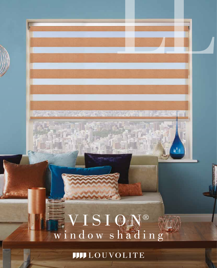# VISION® window shading

**JJJJ** LOUVOLITE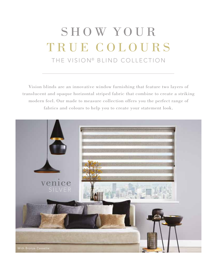## SHOW YOUR TRUE COLOURS THE VISION® BLIND COLLECTION

Vision blinds are an innovative window furnishing that feature two layers of translucent and opaque horizontal striped fabric that combine to create a striking modern feel. Our made to measure collection offers you the perfect range of fabrics and colours to help you to create your statement look.

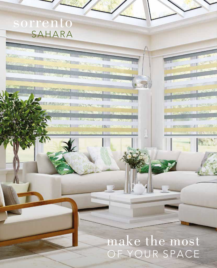### sorrento SAHARA

ARAN ACTE BY SANTO

**WAS DESCRIPTION** 

ET Shits miles

**CONTRACTOR** 

**THE NEW YORK OF BUILDING AND ALL PROPERTY OF BUILDING CONTINUES.** 

**TABLE IN SECTION TO BE A SECOND TO** 

**MARKET TERMANAGER** KINSKON

TITULISME THE BELLEVILLE

**ING YOU RESERVE THE POSSIBLY THE VEHICLE** 

### make the most OF YOUR SPACE

**SA 1** 

**CONTRACTOR** 

**HASE** 

**THE PUBLIC SERVICE** 

「後のサーズ」 四 日光のな

**TABLE STATE** 

**LIFE PORT STATE**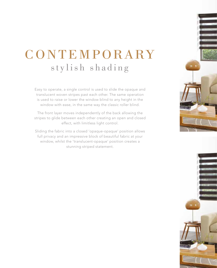## CONTEMPORARY stylish shading

Easy to operate, a single control is used to slide the opaque and translucent woven stripes past each other. The same operation is used to raise or lower the window blind to any height in the window with ease, in the same way the classic roller blind.

The front layer moves independently of the back allowing the stripes to glide between each other creating an open and closed effect, with limitless light control.

Sliding the fabric into a closed 'opaque-opaque' position allows full privacy and an impressive block of beautiful fabric at your window, whilst the 'translucent-opaque' position creates a stunning striped statement.



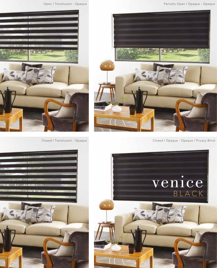



Closed | Translucent - Opaque | National Closed | Opaque - Opaque | Privacy Blind



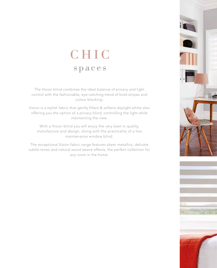### CHIC spaces

The Vision blind combines the ideal balance of privacy and light control with the fashionable, eye-catching trend of bold stripes and colour blocking.

Vision is a stylish fabric that gently filters & softens daylight whilst also offering you the option of a privacy blind, controlling the light while maintaining the view.

With a Vision blind you will enjoy the very best in quality, manufacture and design, along with the practicality of a low maintenance window blind.

The exceptional Vision fabric range features sheer metallics, delicate subtle tones and natural wood weave effects, the perfect collection for any room in the home.



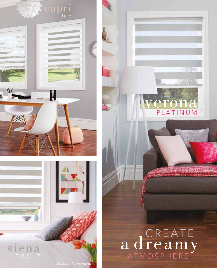



### na  $\mathbb{P}$ PLATINUM

**OUT** 

**2000 - 2000 - 2000** 

# a dreamy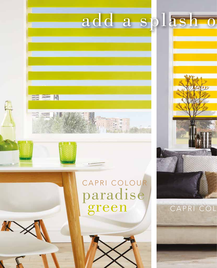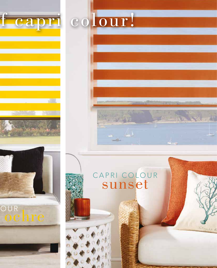

### CAPRI COLOUR sunset

نیاب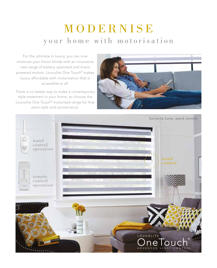### MODERNISE your home with motorisation

For the ultimate in luxury, you can now motorise your Vision blinds with an innovative new range of battery operated and mains powered motors. Louvolite One Touch® makes luxury affordable with motorisation that is accessible to all.

There is no better way to make a contemporary style statement in your home, so choose the Louvolite One Touch® motorised range for that extra style and convenience.



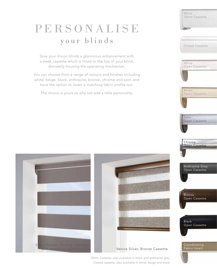### PERSONALISE your blinds

Give your Vision blinds a glamorous enhancement with a sleek cassette which is fitted to the top of your blind, discreetly housing the operating mechanism.

You can choose from a range of colours and finishes including white, beige, black, anthracite, bronze, chrome and satin and have the option to insert a matching fabric profile too.

The choice is yours so why not add a little personality.





White Open Cassette Anthracite Grey Open Cassette Bronze Open Cassette Black Open Cassette White 70mm Cassette Beige Open Cassette Satin Open Cassette Chrome Open Cassette Closed Cassette Fabric Insert

70mm Cassette, also available in black and anthracite grey Closed cassette, also available in white, beige and black